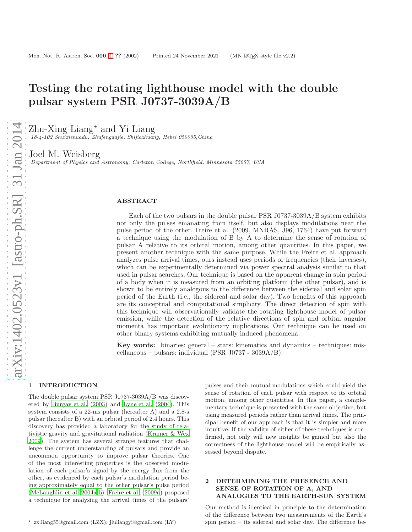# Testing the rotating lighthouse model with the double pulsar system PSR J0737-3039A/B

Zhu-Xing Liang<sup>\*</sup> and Yi Liang

18-4-102 Shuixiehuadu, Zhufengdajie, Shijiazhuang, Hebei 050035,China

Joel M. Weisberg

Department of Physics and Astronomy, Carleton College, Northfield, Minnesota 55057, USA

## ABSTRACT

Each of the two pulsars in the double pulsar PSR J0737-3039A/B system exhibits not only the pulses emanating from itself, but also displays modulations near the pulse period of the other. Freire et al. (2009, MNRAS, 396, 1764) have put forward a technique using the modulation of B by A to determine the sense of rotation of pulsar A relative to its orbital motion, among other quantities. In this paper, we present another technique with the same purpose. While the Freire et al. approach analyzes pulse arrival times, ours instead uses periods or frequencies (their inverses), which can be experimentally determined via power spectral analysis similar to that used in pulsar searches. Our technique is based on the apparent change in spin period of a body when it is measured from an orbiting platform (the other pulsar), and is shown to be entirely analogous to the difference between the sidereal and solar spin period of the Earth (i.e., the sidereal and solar day). Two benefits of this approach are its conceptual and computational simplicity. The direct detection of spin with this technique will observationally validate the rotating lighthouse model of pulsar emission, while the detection of the relative directions of spin and orbital angular momenta has important evolutionary implications. Our technique can be used on other binary systems exhibiting mutually induced phenomena.

Key words: binaries: general – stars: kinematics and dynamics – techniques: miscellaneous – pulsars: individual (PSR J0737 - 3039A/B).

### <span id="page-0-0"></span>1 INTRODUCTION

The double pulsar system PSR J0737-3039A/B was discovered by [Burgay et al. \(2003](#page-6-0)) and [Lyne et al. \(2004\)](#page-6-1). This system consists of a 22-ms pulsar (hereafter A) and a 2.8-s pulsar (hereafter B) with an orbital period of 2.4 hours. This discovery has provided a laboratory for the study of relativistic gravity and gravitational radiation [\(Kramer & Wex](#page-6-2) [2009](#page-6-2)). The system has several strange features that challenge the current understanding of pulsars and provide an uncommon opportunity to improve pulsar theories. One of the most interesting properties is the observed modulation of each pulsar's signal by the energy flux from the other, as evidenced by each pulsar's modulation period being approximately equal to the other pulsar's pulse period [\(McLaughlin et al. 2004a](#page-6-3)[,b](#page-6-4)). [Freire et al. \(2009a\)](#page-6-5) proposed a technique for analysing the arrival times of the pulsars'

pulses and their mutual modulations which could yield the sense of rotation of each pulsar with respect to its orbital motion, among other quantities. In this paper, a complementary technique is presented with the same objective, but using measured periods rather than arrival times. The principal benefit of our approach is that it is simpler and more intuitive. If the validity of either of these techniques is confirmed, not only will new insights be gained but also the correctness of the lighthouse model will be empirically assessed beyond dispute.

# 2 DETERMINING THE PRESENCE AND SENSE OF ROTATION OF A, AND ANALOGIES TO THE EARTH-SUN SYSTEM

Our method is identical in principle to the determination of the difference between two measurements of the Earth's spin period – its sidereal and solar day. The difference be-

<sup>⋆</sup> zx.liang55@gmail.com (LZX); jluliangyi@gmail.com (LY)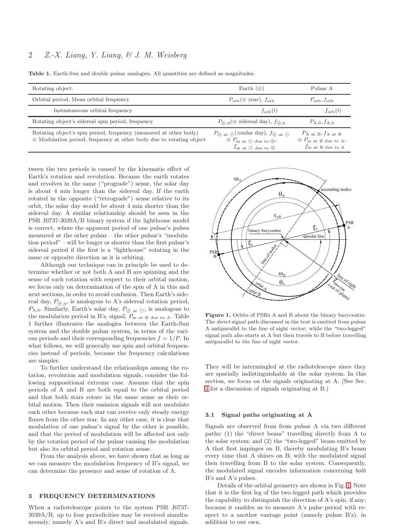# 2 Z.-X. Liang, Y. Liang, & J. M. Weisberg

Table 1. Earth-Sun and double pulsar analogies. All quantities are defined as magnitudes.

<span id="page-1-1"></span>

| Rotating object:                                                                                                                                | Earth $(\oplus)$                                                                                                                                                                                           | Pulsar A                                                                                                        |
|-------------------------------------------------------------------------------------------------------------------------------------------------|------------------------------------------------------------------------------------------------------------------------------------------------------------------------------------------------------------|-----------------------------------------------------------------------------------------------------------------|
| Orbital period, Mean orbital frequency                                                                                                          | $P_{\rm orb}(\equiv \text{year})$ , $f_{\rm orb}$                                                                                                                                                          | $P_{\rm orb}, f_{\rm orb}$                                                                                      |
| Instantaneous orbital frequency                                                                                                                 | $f_{\rm orb}(t)$                                                                                                                                                                                           | $f_{\rm orb}(t)$                                                                                                |
| Rotating object's sidereal spin period, frequency                                                                                               | $P_{\oplus 0} (\equiv \text{ sidereal day}), f_{\oplus 0}$                                                                                                                                                 | $P_{\text{A},0}, f_{\text{A},0}$                                                                                |
| Rotating object's spin period, frequency (measured at other body)<br>$\equiv$ Modulation period, frequency at other body due to rotating object | $P_{\bigoplus \text{ at } \bigodot} (\equiv \text{solar day}), f_{\bigoplus \text{ at } \bigodot}$<br>$\equiv P_{\text{m at } \odot \text{ due to } \oplus},$<br>$f_{\text{m at } } \odot$ due to $\oplus$ | $P_{A \text{ at } B}, f_{A \text{ at } B}$<br>$\equiv P_{\text{m at B due to A}},$<br>$f_{\rm m}$ at B due to A |

tween the two periods is caused by the kinematic effect of Earth's rotation and revolution. Because the earth rotates and revolves in the same ("prograde") sense, the solar day is about 4 min longer than the sidereal day. If the earth rotated in the opposite ("retrograde") sense relative to its orbit, the solar day would be about 4 min shorter than the sidereal day. A similar relationship should be seen in the PSR J0737-3039A/B binary system if the lighthouse model is correct, where the apparent period of one pulsar's pulses measured at the other pulsar – the other pulsar's "modulation period" – will be longer or shorter than the first pulsar's sidereal period if the first is a "lighthouse" rotating in the same or opposite direction as it is orbiting.

Although our technique can in principle be used to determine whether or not both A and B are spinning and the sense of such rotation with respect to their orbital motion, we focus only on determination of the spin of A in this and next sections, in order to avoid confusion. Then Earth's sidereal day,  $P_{\bigoplus,0}$ , is analogous to A's sidereal rotation period,  $P_{A,0}$ . Similarly, Earth's solar day,  $P_{\bigoplus}$  at  $\odot$ , is analogous to the modulation period in B's, signal,  $P_{\text{m at B due to A}}$ . Table 1 further illustrates the analogies between the Earth-Sun system and the double pulsar system, in terms of the various periods and their corresponding frequencies  $f = 1/P$ . In what follows, we will generally use spin and orbital frequencies instead of periods, because the frequency calculations are simpler.

To further understand the relationships among the rotation, revolution and modulation signals, consider the following suppositional extreme case. Assume that the spin periods of A and B are both equal to the orbital period and that both stars rotate in the same sense as their orbital motion. Then their emission signals will not modulate each other because each star can receive only steady energy fluxes from the other star. In any other case, it is clear that modulation of one pulsar's signal by the other is possible, and that the period of modulation will be affected not only by the rotation period of the pulsar causing the modulation but also its orbital period and rotation sense.

From the analysis above, we have shown that as long as we can measure the modulation frequency of B's signal, we can determine the presence and sense of rotation of A.

## 3 FREQUENCY DETERMINATIONS

When a radiotelescope points to the system PSR J0737- 3039A/B, up to four periodicities may be received simultaneously; namely A's and B's direct and modulated signals.



<span id="page-1-0"></span>Figure 1. Orbits of PSRs A and B about the binary barycentre. The direct signal path discussed in the text is emitted from pulsar A antiparallel to the line of sight vector; while the "two-legged" signal path also starts at A but then travels to B before travelling antiparallel to the line of sight vector.

They will be intermingled at the radiotelescope since they are spatially indistinguishable at the solar system. In this section, we focus on the signals originating at A. (See Sec. [4](#page-6-6) for a discussion of signals originating at B.)

#### 3.1 Signal paths originating at A

Signals are observed from from pulsar A via two different paths: (1) the "direct beam" travelling directly from A to the solar system; and (2) the "two-legged" beam emitted by A that first impinges on B, thereby modulating B's beam every time that A shines on B; with the modulated signal then travelling from B to the solar system. Consequently, the modulated signal encodes information concerning both B's and A's pulses.

Details of the orbital geometry are shown in Fig. [1.](#page-1-0) Note that it is the first leg of the two-legged path which provides the capability to distinguish the direction of A's spin, if any; because it enables us to measure A's pulse period with respect to a another vantage point (namely pulsar B's), in addition to our own.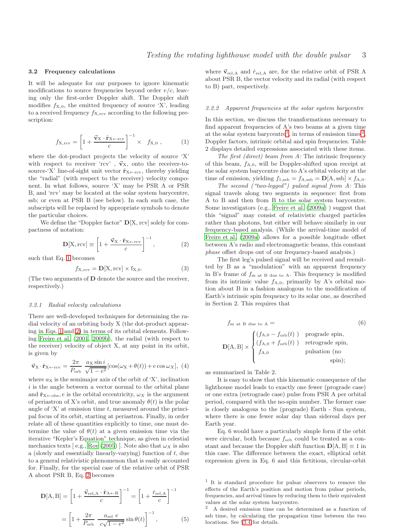## 3.2 Frequency calculations

It will be adequate for our purposes to ignore kinematic modifications to source frequencies beyond order  $v/c$ , leaving only the first-order Doppler shift. The Doppler shift modifies  $f_{X,0}$ , the emitted frequency of source 'X', leading to a received frequency  $f_{X,\text{rcv}}$  according to the following prescription:

<span id="page-2-0"></span>
$$
f_{\mathbf{X},\text{rev}} = \left[1 + \frac{\vec{\mathbf{v}}_{\mathbf{X}} \cdot \hat{\mathbf{r}}_{\mathbf{X} \leftarrow \text{rev}}}{c}\right]^{-1} \times f_{\mathbf{X},0} ,\qquad (1)
$$

where the dot-product projects the velocity of source 'X' with respect to receiver 'rcv',  $\vec{v}_X$ , onto the receiver-tosource-'X' line-of-sight unit vector  $\hat{\mathbf{r}}_{X \leftarrow rcv}$ , thereby yielding the "radial" (with respect to the receiver) velocity component. In what follows, source 'X' may be PSR A or PSR B, and 'rcv' may be located at the solar system barycentre, ssb; or even at PSR B (see below). In each such case, the subscripts will be replaced by appropriate symbols to denote the particular choices.

We define the "Doppler factor"  $\mathbf{D}[X, \text{rcv}]$  solely for compactness of notation:

<span id="page-2-1"></span>
$$
\mathbf{D}[\mathbf{X}, \text{rcv}] \equiv \left[1 + \frac{\vec{\mathbf{v}}_{\mathbf{X}} \cdot \hat{\mathbf{r}}_{\mathbf{X} \leftarrow \text{rcv}}}{c}\right]^{-1},\tag{2}
$$

such that Eq. [1](#page-2-0) becomes

$$
f_{\mathbf{X},\text{rcv}} = \mathbf{D}[\mathbf{X},\text{rcv}] \times f_{\mathbf{X},0}.\tag{3}
$$

(The two arguments of  **denote the source and the receiver,** respectively.)

#### <span id="page-2-4"></span>3.2.1 Radial velocity calculations

There are well-developed techniques for determining the radial velocity of an orbiting body X (the dot-product appearing in Eqs. [1](#page-2-0) and [2\)](#page-2-1) in terms of its orbital elements. Following [Freire et al. \(2001](#page-6-7), [2009b](#page-6-8)), the radial (with respect to the receiver) velocity of object X, at any point in its orbit, is given by

$$
\vec{\mathbf{v}}_{\mathbf{X}} \cdot \hat{\mathbf{r}}_{\mathbf{X} \leftarrow \text{rcv}} = \frac{2\pi}{P_{\text{orb}}} \frac{a_{\mathbf{X}} \sin i}{\sqrt{1 - e^2}} [\cos(\omega_{\mathbf{X}} + \theta(t)) + e \cos \omega_{\mathbf{X}}], \tag{4}
$$

where  $a<sub>X</sub>$  is the semimajor axis of the orbit of 'X', inclination  $i$  is the angle between a vector normal to the orbital plane and  $\hat{\mathbf{r}}_{\text{X}\leftarrow \text{obs}}, e$  is the orbital eccentricity,  $\omega_X$  is the argument of periastron of X's orbit, and true anomaly  $\theta(t)$  is the polar angle of  $'X'$  at emission time t, measured around the principal focus of its orbit, starting at periastron. Finally, in order relate all of these quantities explicitly to time, one must determine the value of  $\theta(t)$  at a given emission time via the iterative "Kepler's Equation" technique, as given in celestial mechanics texts [e.g., [Roy \(2005\)](#page-6-9)]. Note also that  $\omega_X$  is also a (slowly and essentially linearly-varying) function of t, due to a general relativistic phenomenon that is easily accounted for. Finally, for the special case of the relative orbit of PSR A about PSR B, Eq. [2](#page-2-1) becomes

$$
\mathbf{D}[\mathbf{A}, \mathbf{B}] = \left[1 + \frac{\vec{\mathbf{v}}_{\text{rel},\mathbf{A}} \cdot \hat{\mathbf{r}}_{\mathbf{A}\leftarrow\mathbf{B}}}{c}\right]^{-1} = \left[1 + \frac{\dot{r}_{\text{rel},\mathbf{A}}}{c}\right]^{-1}
$$

$$
= \left[1 + \frac{2\pi}{P_{\text{orb}}} \frac{a_{\text{rel}} e}{c\sqrt{1 - e^2}} \sin \theta(t)\right]^{-1}, \tag{5}
$$

where  $\vec{v}_{rel,A}$  and  $\dot{r}_{rel,A}$  are, for the relative orbit of PSR A about PSR B, the vector velocity and its radial (with respect to B) part, respectively.

## 3.2.2 Apparent frequencies at the solar system barycentre

In this section, we discuss the transformations necessary to find apparent frequencies of A's two beams at a given time at the solar system barycentre<sup>[1](#page-2-2)</sup>, in terms of emission times<sup>[2](#page-2-3)</sup>, Doppler factors, intrinsic orbital and spin frequencies. Table 2 displays detailed expressions associated with these items.

The first (direct) beam from A: The intrinsic frequency of this beam,  $f_{A,0}$ , will be Doppler-shifted upon receipt at the solar system barycentre due to A's orbital velocity at the time of emission, yielding  $f_{1,\text{ssb}} = f_{A,\text{ssb}} = D[A,\text{ssb}] \times f_{A,0}$ .

The second ("two-legged") pulsed signal from A: This signal travels along two segments in sequence: first from A to B and then from B to the solar system barycentre. Some investigators (e.g., [Freire et al. \(2009a](#page-6-5)) ) suggest that this "signal" may consist of relativistic charged particles rather than photons, but either will behave similarly in our frequency-based analysis. (While the arrival-time model of [Freire et al. \(2009a](#page-6-5)) allows for a possible longitude offset between A's radio and electromagnetic beams, this constant phase offset drops out of our frequency-based analysis.)

The first leg's pulsed signal will be received and reemitted by B as a "modulation" with an apparent frequency in B's frame of  $f_{\text{m at B due to A}}$ . This frequency is modified from its intrinsic value  $f_{A,0}$ , primarily by A's orbital motion about B in a fashion analogous to the modification of Earth's intrinsic spin frequency to its solar one, as described in Section 2. This requires that

$$
f_{\text{m at B due to A}} = \text{(6)}
$$
\n
$$
\mathbf{D}[\text{A}, \text{B}] \times \begin{cases} (f_{\text{A},0} - f_{\text{orb}}(t)) & \text{prograde spin,} \\ (f_{\text{A},0} + f_{\text{orb}}(t)) & \text{retrograde spin,} \\ f_{\text{A},0} & \text{pulsation (no spin);} \end{cases}
$$

as summarized in Table 2.

It is easy to show that this kinematic consequence of the lighthouse model leads to exactly one fewer (prograde case) or one extra (retrograde case) pulse from PSR A per orbital period, compared with the no-spin number. The former case is closely analogous to the (prograde) Earth - Sun system, where there is one fewer solar day than sidereal days per Earth year.

Eq. 6 would have a particularly simple form if the orbit were circular, both because  $f_{\text{orb}}$  could be treated as a constant and because the Doppler shift function  $\mathbf{D}[\mathbf{A}, \mathbf{B}] \equiv 1$  in this case. The difference between the exact, elliptical orbit expression given in Eq. 6 and this fictitious, circular-orbit

<span id="page-2-2"></span><sup>1</sup> It is standard procedure for pulsar observers to remove the effects of the Earth's position and motion from pulsar periods, frequencies, and arrival times by reducing them to their equivalent values at the solar system barycentre.

<span id="page-2-3"></span><sup>2</sup> A desired emission time can be determined as a function of ssb time, by calculating the propagation time between the two locations. See §[3.4](#page-4-0) for details.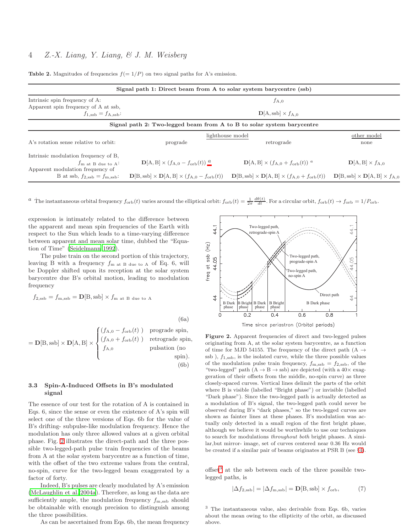**Table 2.** Magnitudes of frequencies  $f(= 1/P)$  on two signal paths for A's emission.

| Signal path 1: Direct beam from A to solar system barycentre (ssb) |                                                                                                                    |                                                                                                                      |                                                             |  |
|--------------------------------------------------------------------|--------------------------------------------------------------------------------------------------------------------|----------------------------------------------------------------------------------------------------------------------|-------------------------------------------------------------|--|
| Intrinsic spin frequency of A:                                     | $f_{A,0}$                                                                                                          |                                                                                                                      |                                                             |  |
| Apparent spin frequency of A at ssb.                               |                                                                                                                    |                                                                                                                      |                                                             |  |
| $f_{1,\text{ssb}} = f_{A,\text{ssb}}$ :                            |                                                                                                                    | $D[A, ssb] \times f_{A,0}$                                                                                           |                                                             |  |
|                                                                    | Signal path 2: Two-legged beam from A to B to solar system barycentre                                              |                                                                                                                      |                                                             |  |
|                                                                    | lighthouse model                                                                                                   |                                                                                                                      | other model                                                 |  |
| A's rotation sense relative to orbit:                              | prograde                                                                                                           | retrograde                                                                                                           | none                                                        |  |
| Intrinsic modulation frequency of B,                               |                                                                                                                    |                                                                                                                      |                                                             |  |
| $f_{\rm m}$ at B due to A:                                         | ${\bf D}[A, B] \times (f_{A,0} - f_{\rm orb}(t))^a$                                                                | ${\bf D}[A, B] \times (f_{A,0} + f_{orb}(t))^a$                                                                      | $\mathbf{D}[\mathrm{A},\mathrm{B}]\times f_{\mathrm{A},0}$  |  |
| Apparent modulation frequency of                                   |                                                                                                                    |                                                                                                                      |                                                             |  |
| B at ssb, $f_{2,\text{ssb}} = f_{\text{m,ssb}}$ :                  | $\mathbf{D}[\text{B},\text{ssb}] \times \mathbf{D}[\text{A},\text{B}] \times (f_{\text{A},0} - f_{\text{orb}}(t))$ | $\mathbf{D}[\text{B}, \text{ssb}] \times \mathbf{D}[\text{A}, \text{B}] \times (f_{\text{A},0} + f_{\text{orb}}(t))$ | $\mathbf{D}[B, ssb] \times \mathbf{D}[A, B] \times f_{A,0}$ |  |

 $a$  The instantaneous orbital frequency  $f_{\text{orb}}(t)$  varies around the elliptical orbit:  $f_{\text{orb}}(t) = \frac{1}{2\pi} \frac{d\theta(t)}{dt}$ . For a circular orbit,  $f_{\text{orb}}(t) \rightarrow f_{\text{orb}} = 1/P_{\text{orb}}$ .

expression is intimately related to the difference between the apparent and mean spin frequencies of the Earth with respect to the Sun which leads to a time-varying difference between apparent and mean solar time, dubbed the "Equation of Time" [\(Seidelmann 1992](#page-6-10)).

The pulse train on the second portion of this trajectory, leaving B with a frequency  $f_{\text{m at B due to A}}$  of Eq. 6, will be Doppler shifted upon its reception at the solar system barycentre due B's orbital motion, leading to modulation frequency

$$
f_{2,\text{ssb}} = f_{\text{m,ssb}} = D[B, \text{ssb}] \times f_{\text{m at B due to A}}
$$
\n(6a)  
\n
$$
= D[B, \text{ssb}] \times D[A, B] \times \begin{cases} (f_{\text{A},0} - f_{\text{orb}}(t)) & \text{prograde spin,} \\ (f_{\text{A},0} + f_{\text{orb}}(t)) & \text{retrograde spin,} \\ f_{\text{A},0} & \text{pulsation (no)} \end{cases}
$$

# $\overline{\mathcal{L}}$  $f_{A,0}$  pulsation (no spin). (6b)

# 3.3 Spin-A-Induced Offsets in B's modulated signal

The essence of our test for the rotation of A is contained in Eqs. 6, since the sense or even the existence of A's spin will select one of the three versions of Eqs. 6b for the value of B's drifting- subpulse-like modulation frequency. Hence the modulation has only three allowed values at a given orbital phase. Fig. [2](#page-3-0) illustrates the direct-path and the three possible two-legged-path pulse train frequencies of the beams from A at the solar system barycentre as a function of time, with the offset of the two extreme values from the central, no-spin, curve for the two-legged beam exaggerated by a factor of forty.

Indeed, B's pulses are clearly modulated by A's emission [\(McLaughlin et al. 2004a](#page-6-3)). Therefore, as long as the data are sufficiently ample, the modulation frequency  $f_{\text{m,ssb}}$  should be obtainable with enough precision to distinguish among the three possibilities.

As can be ascertained from Eqs. 6b, the mean frequency



<span id="page-3-2"></span><span id="page-3-0"></span>Figure 2. Apparent frequencies of direct and two-legged pulses originating from A, at the solar system barycentre, as a function of time for MJD 54155. The frequency of the direct path (A  $\rightarrow$ ssb),  $f_{1,\text{ssb}}$ , is the isolated curve, while the three possible values of the modulation pulse train frequency,  $f_{\text{m,}ssb} = f_{2,ssb}$ , of the "two-legged" path  $(A \rightarrow B \rightarrow ssb)$  are depicted (with a  $40 \times exag$ geration of their offsets from the middle, no-spin curve) as three closely-spaced curves. Vertical lines delimit the parts of the orbit where B is visible (labelled "Bright phase") or invisible (labelled "Dark phase"). Since the two-legged path is actually detected as a modulation of B's signal, the two-legged path could never be observed during B's "dark phases," so the two-legged curves are shown as fainter lines at these phases. B's modulation was actually only detected in a small region of the first bright phase, although we believe it would be worthwhile to use our techniques to search for modulations throughout both bright phases. A similar,but mirror- image, set of curves centered near 0.36 Hz would be created if a similar pair of beams originates at PSR B (see §[4\)](#page-6-6).

offset<sup>[3](#page-3-1)</sup> at the ssb between each of the three possible twolegged paths, is

$$
|\Delta f_{2,\mathrm{ssb}}| = |\Delta f_{\mathrm{m},\mathrm{ssb}}| = \mathbf{D}[\mathrm{B},\mathrm{ssb}] \times f_{\mathrm{orb}},\tag{7}
$$

<span id="page-3-1"></span><sup>3</sup> The instantaneous value, also derivable from Eqs. 6b, varies about the mean owing to the ellipticity of the orbit, as discussed above.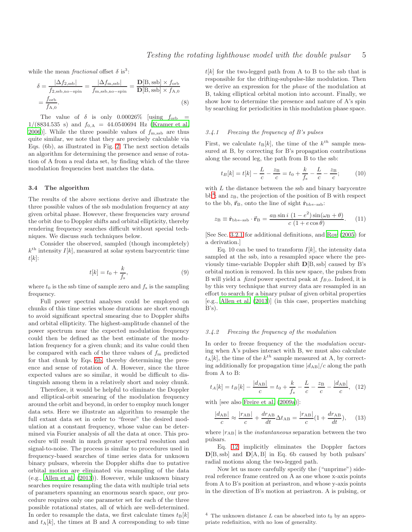while the mean *fractional* offset  $\delta$  is<sup>3</sup>:

$$
\delta = \frac{|\Delta f_{2,\text{ssb}}|}{f_{2,\text{ssb},\text{no-spin}}} = \frac{|\Delta f_{\text{m},\text{ssb}}|}{f_{\text{m},\text{ssb},\text{no-spin}}} = \frac{\mathbf{D}[\text{B},\text{ssb}] \times f_{\text{orb}}}{\mathbf{D}[\text{B},\text{ssb}] \times f_{\text{A},\text{0}}}
$$
\n
$$
= \frac{f_{\text{orb}}}{f_{\text{A},0}}.
$$
\n(8)

The value of  $\delta$  is only 0.00026% [using  $f_{\rm orb}$  =  $1/(8834.535 \text{ s})$  and  $f_{0,A} = 44.0540694 \text{ Hz}$  [\(Kramer et al.](#page-6-11) [2006](#page-6-11))]. While the three possible values of  $f_{\rm m,ssb}$  are thus quite similar, we note that they are precisely calculable via Eqs. (6b), as illustrated in Fig. [2.](#page-3-0) The next section details an algorithm for determining the presence and sense of rotation of A from a real data set, by finding which of the three modulation frequencies best matches the data.

### <span id="page-4-0"></span>3.4 The algorithm

The results of the above sections derive and illustrate the three possible values of the ssb modulation frequency at any given orbital phase. However, these frequencies vary around the orbit due to Doppler shifts and orbital ellipticity, thereby rendering frequency searches difficult without special techniques. We discuss such techniques below.

Consider the observed, sampled (though incompletely)  $k^{\text{th}}$  intensity  $I[k]$ , measured at solar system barycentric time  $t[k]$ :

$$
t[k] = t_0 + \frac{k}{f_s},\tag{9}
$$

where  $t_0$  is the ssb time of sample zero and  $f_s$  is the sampling frequency.

Full power spectral analyses could be employed on chunks of this time series whose durations are short enough to avoid significant spectral smearing due to Doppler shifts and orbital ellipticity. The highest-amplitude channel of the power spectrum near the expected modulation frequency could then be defined as the best estimate of the modulation frequency for a given chunk; and its value could then be compared with each of the three values of  $f<sub>m</sub>$  predicted for that chunk by Eqs. [6b,](#page-3-2) thereby determining the presence and sense of rotation of A. However, since the three expected values are so similar, it would be difficult to distinguish among them in a relatively short and noisy chunk.

Therefore, it would be helpful to eliminate the Doppler and elliptical-orbit smearing of the modulation frequency around the orbit and beyond, in order to employ much longer data sets. Here we illustrate an algorithm to resample the full extant data set in order to "freeze" the desired modulation at a constant frequency, whose value can be determined via Fourier analysis of all the data at once. This procedure will result in much greater spectral resolution and signal-to-noise. The process is similar to procedures used in frequency-based searches of time series data for unknown binary pulsars, wherein the Doppler shifts due to putative orbital motion are eliminated via resampling of the data (e.g., [Allen et al. \(2013](#page-6-12))). However, while unknown binary searches require resampling the data with multiple trial sets of parameters spanning an enormous search space, our procedure requires only one parameter set for each of the three possible rotational states, all of which are well-determined. In order to resample the data, we first calculate times  $t_B[k]$ and  $t_A[k]$ , the times at B and A corresponding to ssb time

 $t[k]$  for the two-legged path from A to B to the ssb that is responsible for the drifting-subpulse-like modulation. Then we derive an expression for the phase of the modulation at B, taking elliptical orbital motion into account. Finally, we show how to determine the presence and nature of A's spin by searching for periodicities in this modulation phase space.

## 3.4.1 Freezing the frequency of B's pulses

First, we calculate  $t_{\text{B}}[k]$ , the time of the  $k^{th}$  sample measured at B, by correcting for B's propagation contributions along the second leg, the path from B to the ssb:

$$
t_B[k] = t[k] - \frac{L}{c} - \frac{z_B}{c} = t_0 + \frac{k}{f_s} - \frac{L}{c} - \frac{z_B}{c};
$$
 (10)

with  $L$  the distance between the ssb and binary barycentre  $bb<sup>4</sup>$  $bb<sup>4</sup>$  $bb<sup>4</sup>$ ; and  $z_B$ , the projection of the position of B with respect to the bb,  $\vec{r}_B$ , onto the line of sight  $\hat{r}_{bb\leftarrow ssb}$ :

$$
z_{\rm B} \equiv \hat{\mathbf{r}}_{\rm bb\leftarrow ssb} \cdot \vec{\mathbf{r}}_{\rm B} = \frac{a_{\rm B} \sin i (1 - e^2) \sin(\omega_{\rm B} + \theta)}{c (1 + e \cos \theta)}.
$$
 (11)

[See Sec. [3.2.1](#page-2-4) for additional definitions, and [Roy \(2005\)](#page-6-9) for a derivation.]

Eq. 10 can be used to transform  $I[k]$ , the intensity data sampled at the ssb, into a resampled space where the previously time-variable Doppler shift D[B, ssb] caused by B's orbital motion is removed. In this new space, the pulses from B will yield a *fixed* power spectral peak at  $f_{B,0}$ . Indeed, it is by this very technique that survey data are resampled in an effort to search for a binary pulsar of given orbital properties [e.g., [Allen et al. \(2013\)](#page-6-12)] (in this case, properties matching  $B's$ ).

## 3.4.2 Freezing the frequency of the modulation

In order to freeze frequency of the the *modulation* occuring when A's pulses interact with B, we must also calculate  $t_A[k]$ , the time of the  $k^{th}$  sample measured at A, by correcting additionally for propagation time  $|d_{AB}|/c$  along the path from A to B:

<span id="page-4-2"></span>
$$
t_A[k] = t_B[k] - \frac{|d_{AB}|}{c} = t_0 + \frac{k}{f_s} - \frac{L}{c} - \frac{z_B}{c} - \frac{|d_{AB}|}{c}, \quad (12)
$$

with [see also [Freire et al. \(2009a](#page-6-5))]:

$$
\frac{|d_{AB}|}{c} \approx \frac{|r_{AB}|}{c} + \frac{dr_{AB}}{dt} \Delta t_{AB} = \frac{|r_{AB}|}{c} (1 + \frac{dr_{AB}}{dt}), \quad (13)
$$

where  $|r_{AB}|$  is the *instantaneous* separation between the two pulsars.

Eq. [12](#page-4-2) implicitly eliminates the Doppler factors  $D[B, ssb]$  and  $D[A, B]$  in Eq. 6b caused by both pulsars' radial motions along the two-legged path.

Now let us more carefully specify the ("unprime") sidereal reference frame centred on A as one whose x-axis points from A to B's position at periastron, and whose y-axis points in the direction of B's motion at periastron. A is pulsing, or

<span id="page-4-1"></span><sup>&</sup>lt;sup>4</sup> The unknown distance  $L$  can be absorbed into  $t_0$  by an appropriate redefinition, with no loss of generality.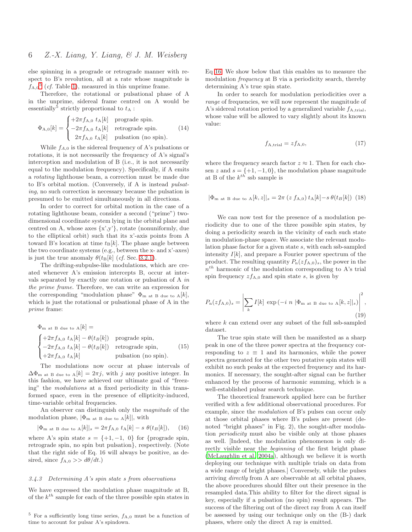else spinning in a prograde or retrograde manner with respect to B's revolution, all at a rate whose magnitude is  $f_{A,0}$ <sup>[5](#page-5-0)</sup> (*cf.* Table [1\)](#page-1-1), measured in this unprime frame.

Therefore, the rotational or pulsational phase of A in the unprime, sidereal frame centred on A would be essentially<sup>5</sup> strictly proportional to  $t_A$ :

$$
\Phi_{A,0}[k] = \begin{cases}\n+2\pi f_{A,0} t_A[k] & \text{prograde spin.} \\
-2\pi f_{A,0} t_A[k] & \text{retrograde spin.} \\
2\pi f_{A,0} t_A[k] & \text{pulsation (no spin).}\n\end{cases}
$$
\n(14)

While  $f_{A,0}$  is the sidereal frequency of A's pulsations or rotations, it is not necessarily the frequency of A's signal's interception and modulation of B (i.e., it is not necessarily equal to the modulation frequency). Specifically, if A emits a rotating lighthouse beam, a correction must be made due to B's orbital motion. (Conversely, if A is instead pulsating, no such correction is necessary because the pulsation is presumed to be emitted simultaneously in all directions.

In order to correct for orbital motion in the case of a rotating lighthouse beam, consider a second ("prime") twodimensional coordinate system lying in the orbital plane and centred on A, whose axes  $\{x',y'\}$ , rotate (nonuniformly, due to the elliptical orbit) such that its x'-axis points from A toward B's location at time  $t_B[k]$ . The phase angle between the two coordinate systems (e.g., between the x- and x'-axes) is just the true anomaly  $\theta(t_{\text{B}}[k]$  (*cf.* Sec. [3.2.1\)](#page-2-4).

The drifting-subpulse-like modulations, which are created whenever A's emission intercepts B, occur at intervals separated by exactly one rotation or pulsation of A in the prime frame. Therefore, we can write an expression for the corresponding "modulation phase"  $\Phi_{m \text{ at } B}$  due to  $A[k]$ , which is just the rotational or pulsational phase of A in the prime frame:

$$
\Phi_{\text{m at B due to A}}[k] =
$$
\n
$$
\begin{cases}\n+2\pi f_{\text{A},0} t_{\text{A}}[k] - \theta(t_B[k]) & \text{prograde spin,} \\
-2\pi f_{\text{A},0} t_{\text{A}}[k] - \theta(t_B[k]) & \text{retrograde spin,} \\
+2\pi f_{\text{A},0} t_{\text{A}}[k] & \text{pulsation (no spin).} \n\end{cases}
$$
\n(15)

The modulations now occur at phase intervals of  $\Delta\Phi_{\text{m at B due to A}}[k] = 2\pi j$ , with j any positive integer. In this fashion, we have achieved our ultimate goal of "freezing" the modulations at a fixed periodicity in this transformed space, even in the presence of ellipticity-induced, time-variable orbital frequencies.

An observer can distinguish only the magnitude of the modulation phase,  $|\Phi_{m} \rangle$  at B due to A[k], with

<span id="page-5-1"></span>
$$
|\Phi_{\text{m at B due to A}}[k]|_s = 2\pi f_{A,0} t_A[k] - s \theta(t_B[k]),
$$
 (16)

where A's spin state  $s = \{+1, -1, 0\}$  for {prograde spin, retrograde spin, no spin but pulsation}, respectively. (Note that the right side of Eq. 16 will always be positive, as desired, since  $f_{A,0} >> d\theta/dt$ .)

## 3.4.3 Determining A's spin state s from observations

We have expressed the modulation phase magnitude at B, of the  $k^{th}$  sample for each of the three possible spin states in Eq [16.](#page-5-1) We show below that this enables us to measure the modulation *frequency* at B via a periodicity search, thereby determining A's true spin state.

In order to search for modulation periodicities over a range of frequencies, we will now represent the magnitude of A's sidereal rotation period by a generalized variable  $f_{A,\text{trial}}$ , whose value will be allowed to vary slightly about its known value:

$$
f_{\rm A, trial} = z f_{\rm A,0},\tag{17}
$$

where the frequency search factor  $z \approx 1$ . Then for each chosen z and  $s = \{+1, -1, 0\}$ , the modulation phase magnitude at B of the  $k^{th}$  ssb sample is

$$
|\Phi_{\text{m at B due to A}}[k, z]|_s = 2\pi (z f_{A,0}) t_A[k] - s \theta(t_B[k])
$$
 (18)

We can now test for the presence of a modulation periodicity due to one of the three possible spin states, by doing a periodicity search in the vicinity of each such state in modulation-phase space. We associate the relevant modulation phase factor for a given state s, with each ssb-sampled intensity  $I[k]$ , and prepare a Fourier power spectrum of the product. The resulting quantity  $P_n(z f_{A,0})_s$ , the power in the  $n<sup>th</sup>$  harmonic of the modulation corresponding to A's trial spin frequency  $z f_{A,0}$  and spin state s, is given by

$$
P_{\mathbf{n}}(zf_{\mathbf{A},0})_s = \left|\sum_{k} I[k] \exp\left(-i \; n \; |\Phi_{\mathbf{m} \text{ at } \mathbf{B} \text{ due to } \mathbf{A}}[k,z]|_s)\right|^2, \tag{19}
$$

where  $k$  can extend over any subset of the full ssb-sampled dataset.

The true spin state will then be manifested as a sharp peak in one of the three power spectra at the frequency corresponding to  $z \equiv 1$  and its harmonics, while the power spectra generated for the other two putative spin states will exhibit no such peaks at the expected frequency and its harmonics. If necessary, the sought-after signal can be further enhanced by the process of harmonic summing, which is a well-established pulsar search technique.

The theoretical framework applied here can be further verified with a few additional observational procedures. For example, since the modulation of B's pulses can occur only at those orbital phases where B's pulses are present (denoted "bright phases" in Fig. 2), the sought-after modulation periodicity must also be visible only at those phases as well. [Indeed, the modulation phenomenon is only directly visible near the beginning of the first bright phase [\(McLaughlin et al. 2004a](#page-6-3)), although we believe it is worth deploying our technique with multiple trials on data from a wide range of bright phases.] Conversely, while the pulses arriving directly from A are observable at all orbital phases, the above procedures should filter out their presence in the resampled data.This ability to filter for the direct signal is key, especially if a pulsation (no spin) result appears. The success of the filtering out of the direct ray from A can itself be assessed by using our technique only on the (B-) dark phases, where only the direct A ray is emitted.

<span id="page-5-0"></span> $5$  For a sufficiently long time series,  $f_{A,0}$  must be a function of time to account for pulsar A's spindown.